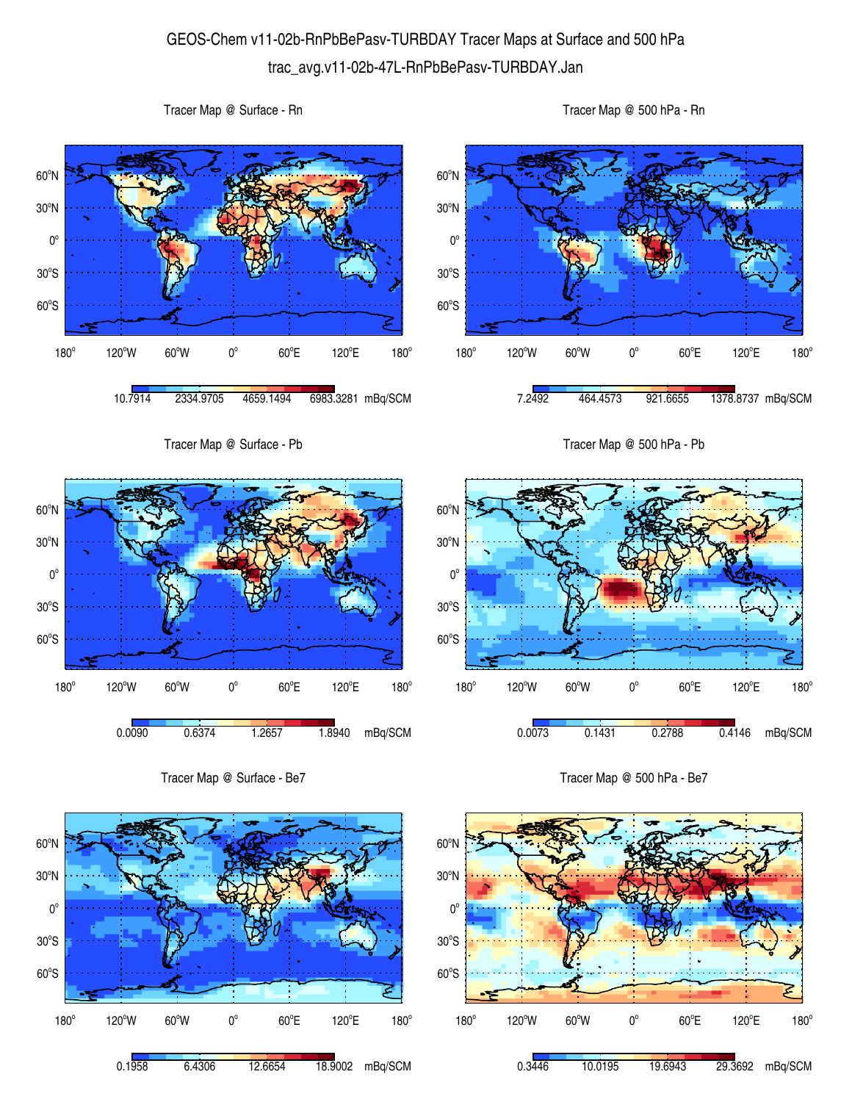## GEOS-Chem v11-02b-RnPbBePasv-TURBDAY Tracer Maps at Surface and 500 hPa trac\_avg.v11-02b-47L-RnPbBePasv-TURBDAY.Jan

 $60^{\circ}$ S  $30^{\circ}$ S  $0^{\circ}$ 30<sup>°</sup>N 60<sup>°</sup>N 180°  $120^{\circ}$ W 60 $^{\circ}$ W 0 $^{\circ}$  $60^{\circ}$ E 120°E  $180^\circ$ 10.7914 2334.9705 4659.1494 6983.3281 mBq/SCM  $60^{\circ}$ S  $30^{\circ}$ S  $0^{\circ}$ 30<sup>°</sup>N 60<sup>°</sup>N  $180^\circ$ 120°W 60°W 0°  $60^{\circ}$ E 120°E  $180^\circ$ 7.2492 464.4573 921.6655 1378.8737 mBq/SCM Tracer Map @ Surface - Pb 60°S  $30^{\circ}$ S  $0^{\circ}$ 30<sup>°</sup>N 60<sup>°</sup>N 180°  $120^{\circ}$ W 60 $^{\circ}$ W 0 $^{\circ}$  $60^{\circ}$ E 120°E  $180^\circ$ 0.0090 0.6374 1.2657 1.8940 mBq/SCM Tracer Map @ 500 hPa - Pb 60°S  $30^{\circ}$ S  $0^{\circ}$ 30<sup>°</sup>N 60<sup>°</sup>N 180°  $120^{\circ}$ W 60 $^{\circ}$ W 0 $^{\circ}$  $60^{\circ}$ E 120°E  $180^\circ$ 0.0073 0.1431 0.2788 0.4146 mBq/SCM Tracer Map @ Surface - Be7 Tracer Map @ 500 hPa - Be7



Tracer Map @ Surface - Rn



Tracer Map @ 500 hPa - Rn